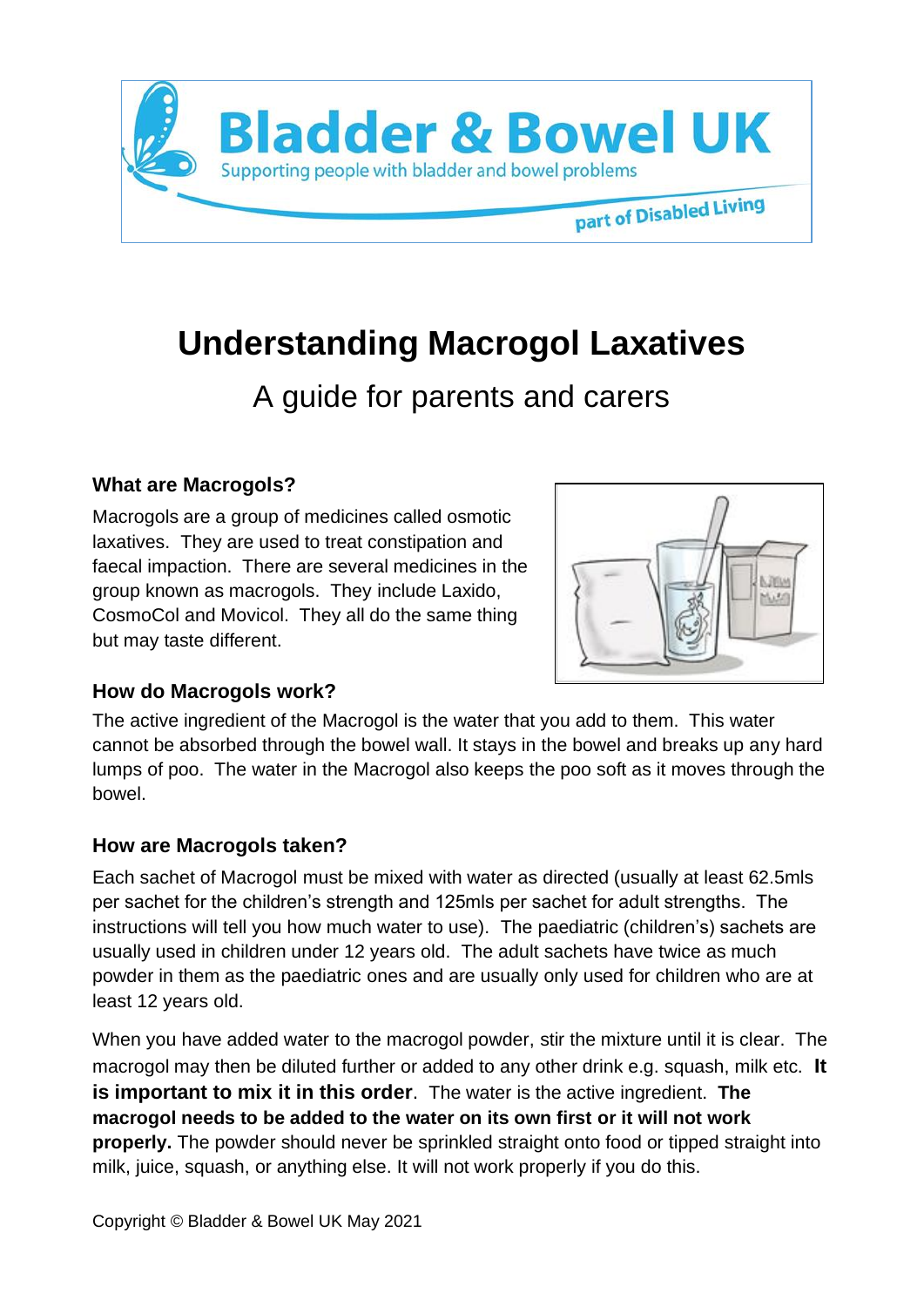

# **Understanding Macrogol Laxatives**

# A guide for parents and carers

# **What are Macrogols?**

Macrogols are a group of medicines called osmotic laxatives. They are used to treat constipation and faecal impaction. There are several medicines in the group known as macrogols. They include Laxido, CosmoCol and Movicol. They all do the same thing but may taste different.



#### **How do Macrogols work?**

The active ingredient of the Macrogol is the water that you add to them. This water cannot be absorbed through the bowel wall. It stays in the bowel and breaks up any hard lumps of poo. The water in the Macrogol also keeps the poo soft as it moves through the bowel.

#### **How are Macrogols taken?**

Each sachet of Macrogol must be mixed with water as directed (usually at least 62.5mls per sachet for the children's strength and 125mls per sachet for adult strengths. The instructions will tell you how much water to use). The paediatric (children's) sachets are usually used in children under 12 years old. The adult sachets have twice as much powder in them as the paediatric ones and are usually only used for children who are at least 12 years old.

When you have added water to the macrogol powder, stir the mixture until it is clear. The macrogol may then be diluted further or added to any other drink e.g. squash, milk etc. **It is important to mix it in this order**. The water is the active ingredient. **The macrogol needs to be added to the water on its own first or it will not work properly.** The powder should never be sprinkled straight onto food or tipped straight into milk, juice, squash, or anything else. It will not work properly if you do this.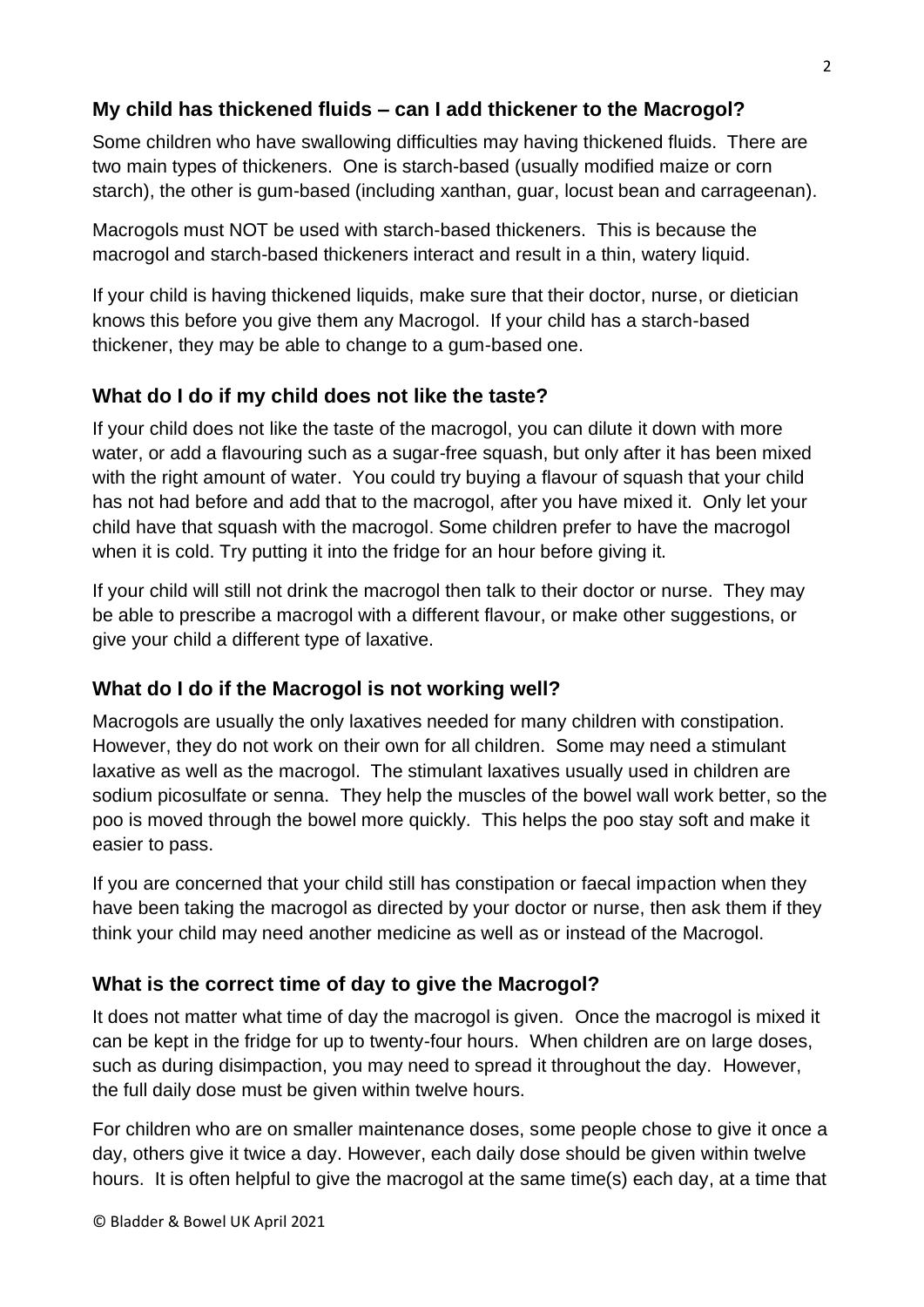### **My child has thickened fluids – can I add thickener to the Macrogol?**

Some children who have swallowing difficulties may having thickened fluids. There are two main types of thickeners. One is starch-based (usually modified maize or corn starch), the other is gum-based (including xanthan, guar, locust bean and carrageenan).

Macrogols must NOT be used with starch-based thickeners. This is because the macrogol and starch-based thickeners interact and result in a thin, watery liquid.

If your child is having thickened liquids, make sure that their doctor, nurse, or dietician knows this before you give them any Macrogol. If your child has a starch-based thickener, they may be able to change to a gum-based one.

# **What do I do if my child does not like the taste?**

If your child does not like the taste of the macrogol, you can dilute it down with more water, or add a flavouring such as a sugar-free squash, but only after it has been mixed with the right amount of water. You could try buying a flavour of squash that your child has not had before and add that to the macrogol, after you have mixed it. Only let your child have that squash with the macrogol. Some children prefer to have the macrogol when it is cold. Try putting it into the fridge for an hour before giving it.

If your child will still not drink the macrogol then talk to their doctor or nurse. They may be able to prescribe a macrogol with a different flavour, or make other suggestions, or give your child a different type of laxative.

#### **What do I do if the Macrogol is not working well?**

Macrogols are usually the only laxatives needed for many children with constipation. However, they do not work on their own for all children. Some may need a stimulant laxative as well as the macrogol. The stimulant laxatives usually used in children are sodium picosulfate or senna. They help the muscles of the bowel wall work better, so the poo is moved through the bowel more quickly. This helps the poo stay soft and make it easier to pass.

If you are concerned that your child still has constipation or faecal impaction when they have been taking the macrogol as directed by your doctor or nurse, then ask them if they think your child may need another medicine as well as or instead of the Macrogol.

#### **What is the correct time of day to give the Macrogol?**

It does not matter what time of day the macrogol is given. Once the macrogol is mixed it can be kept in the fridge for up to twenty-four hours. When children are on large doses, such as during disimpaction, you may need to spread it throughout the day. However, the full daily dose must be given within twelve hours.

For children who are on smaller maintenance doses, some people chose to give it once a day, others give it twice a day. However, each daily dose should be given within twelve hours. It is often helpful to give the macrogol at the same time(s) each day, at a time that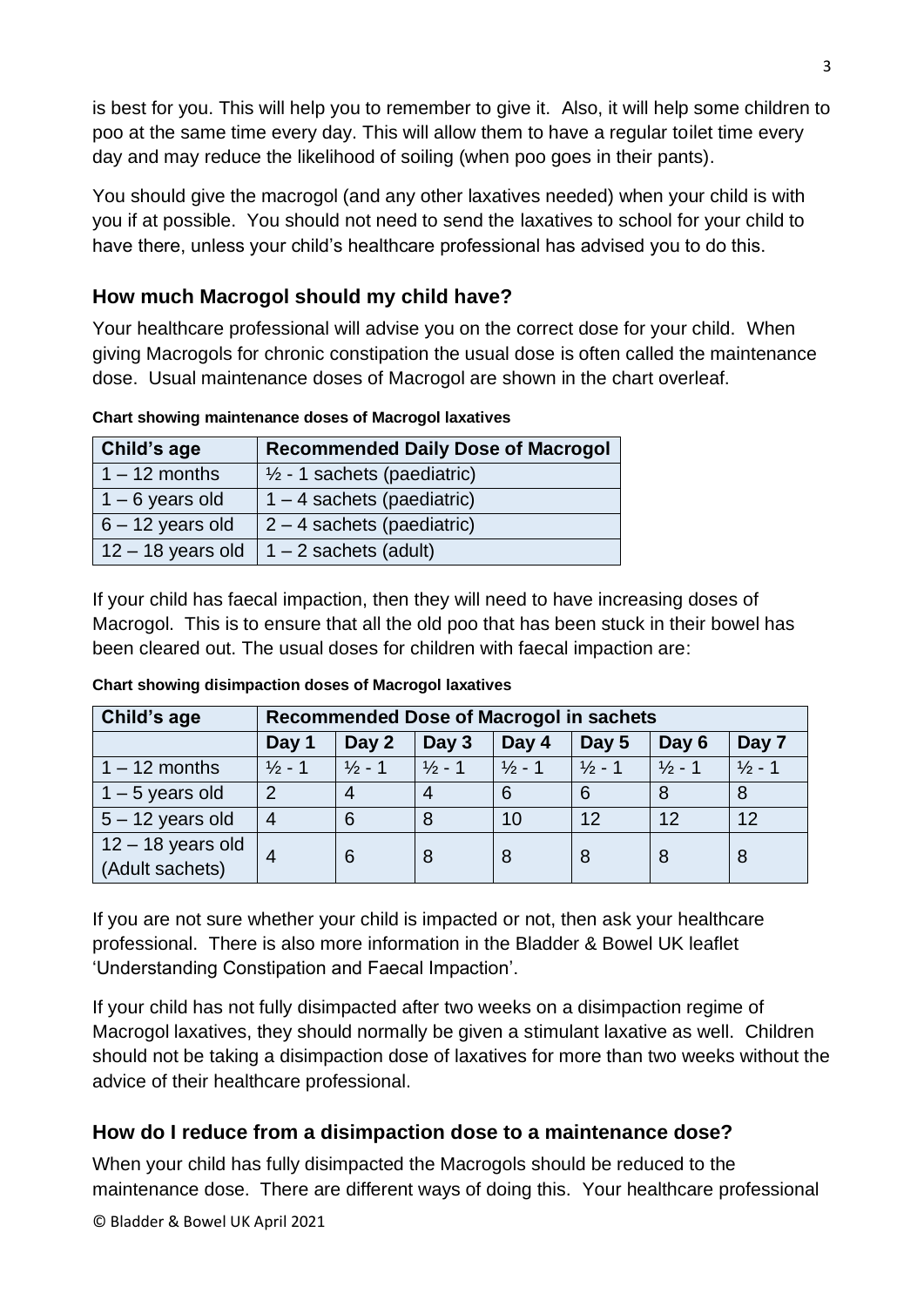is best for you. This will help you to remember to give it. Also, it will help some children to poo at the same time every day. This will allow them to have a regular toilet time every day and may reduce the likelihood of soiling (when poo goes in their pants).

You should give the macrogol (and any other laxatives needed) when your child is with you if at possible. You should not need to send the laxatives to school for your child to have there, unless your child's healthcare professional has advised you to do this.

# **How much Macrogol should my child have?**

Your healthcare professional will advise you on the correct dose for your child. When giving Macrogols for chronic constipation the usual dose is often called the maintenance dose. Usual maintenance doses of Macrogol are shown in the chart overleaf.

**Child's age Recommended Daily Dose of Macrogol** 1 – 12 months  $\frac{1}{2}$  - 1 sachets (paediatric)  $1 - 6$  years old  $1 - 4$  sachets (paediatric)  $6 - 12$  years old  $\left| 2 - 4 \right|$  sachets (paediatric) 12 – 18 years old  $\vert$  1 – 2 sachets (adult)

**Chart showing maintenance doses of Macrogol laxatives**

If your child has faecal impaction, then they will need to have increasing doses of Macrogol. This is to ensure that all the old poo that has been stuck in their bowel has been cleared out. The usual doses for children with faecal impaction are:

| Child's age                            | <b>Recommended Dose of Macrogol in sachets</b> |                   |                   |                   |                   |                   |                   |
|----------------------------------------|------------------------------------------------|-------------------|-------------------|-------------------|-------------------|-------------------|-------------------|
|                                        | Day 1                                          | Day 2             | Day 3             | Day 4             | Day 5             | Day 6             | Day 7             |
| $1 - 12$ months                        | $\frac{1}{2}$ - 1                              | $\frac{1}{2}$ - 1 | $\frac{1}{2}$ - 1 | $\frac{1}{2}$ - 1 | $\frac{1}{2}$ - 1 | $\frac{1}{2}$ - 1 | $\frac{1}{2}$ - 1 |
| $1 - 5$ years old                      | $\mathcal{P}$                                  | $\overline{4}$    | 4                 | 6                 | 6                 | 8                 | 8                 |
| $5 - 12$ years old                     | 4                                              | 6                 | 8                 | 10                | 12                | 12                | 12                |
| $12 - 18$ years old<br>(Adult sachets) | 4                                              | 6                 | 8                 | 8                 | 8                 | 8                 | 8                 |

**Chart showing disimpaction doses of Macrogol laxatives** 

If you are not sure whether your child is impacted or not, then ask your healthcare professional. There is also more information in the Bladder & Bowel UK leaflet 'Understanding Constipation and Faecal Impaction'.

If your child has not fully disimpacted after two weeks on a disimpaction regime of Macrogol laxatives, they should normally be given a stimulant laxative as well. Children should not be taking a disimpaction dose of laxatives for more than two weeks without the advice of their healthcare professional.

# **How do I reduce from a disimpaction dose to a maintenance dose?**

When your child has fully disimpacted the Macrogols should be reduced to the maintenance dose. There are different ways of doing this. Your healthcare professional

© Bladder & Bowel UK April 2021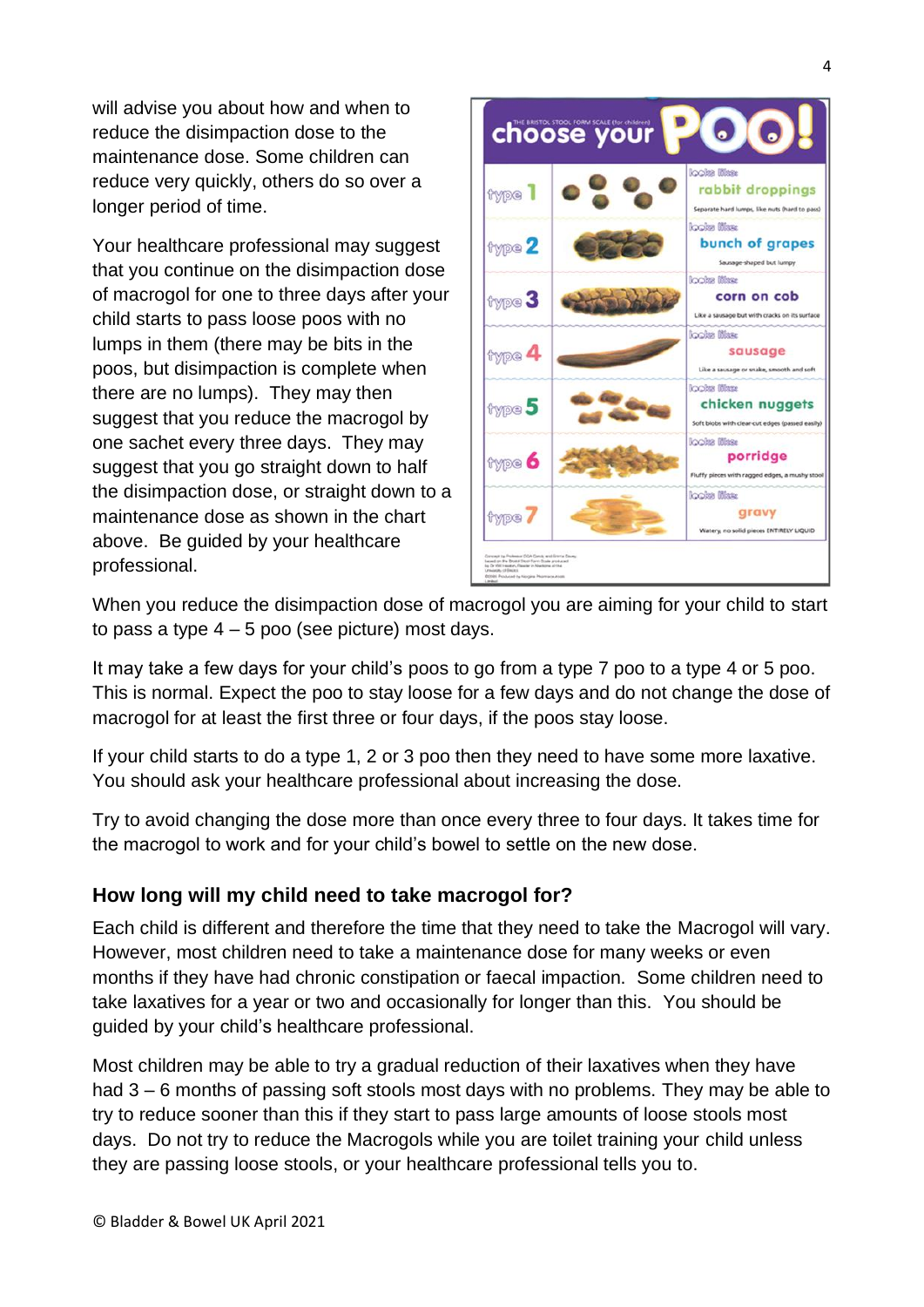will advise you about how and when to reduce the disimpaction dose to the maintenance dose. Some children can reduce very quickly, others do so over a longer period of time.

Your healthcare professional may suggest that you continue on the disimpaction dose of macrogol for one to three days after your child starts to pass loose poos with no lumps in them (there may be bits in the poos, but disimpaction is complete when there are no lumps). They may then suggest that you reduce the macrogol by one sachet every three days. They may suggest that you go straight down to half the disimpaction dose, or straight down to a maintenance dose as shown in the chart above. Be guided by your healthcare professional.



When you reduce the disimpaction dose of macrogol you are aiming for your child to start to pass a type  $4 - 5$  poo (see picture) most days.

It may take a few days for your child's poos to go from a type 7 poo to a type 4 or 5 poo. This is normal. Expect the poo to stay loose for a few days and do not change the dose of macrogol for at least the first three or four days, if the poos stay loose.

If your child starts to do a type 1, 2 or 3 poo then they need to have some more laxative. You should ask your healthcare professional about increasing the dose.

Try to avoid changing the dose more than once every three to four days. It takes time for the macrogol to work and for your child's bowel to settle on the new dose.

#### **How long will my child need to take macrogol for?**

Each child is different and therefore the time that they need to take the Macrogol will vary. However, most children need to take a maintenance dose for many weeks or even months if they have had chronic constipation or faecal impaction. Some children need to take laxatives for a year or two and occasionally for longer than this. You should be guided by your child's healthcare professional.

Most children may be able to try a gradual reduction of their laxatives when they have had 3 – 6 months of passing soft stools most days with no problems. They may be able to try to reduce sooner than this if they start to pass large amounts of loose stools most days. Do not try to reduce the Macrogols while you are toilet training your child unless they are passing loose stools, or your healthcare professional tells you to.